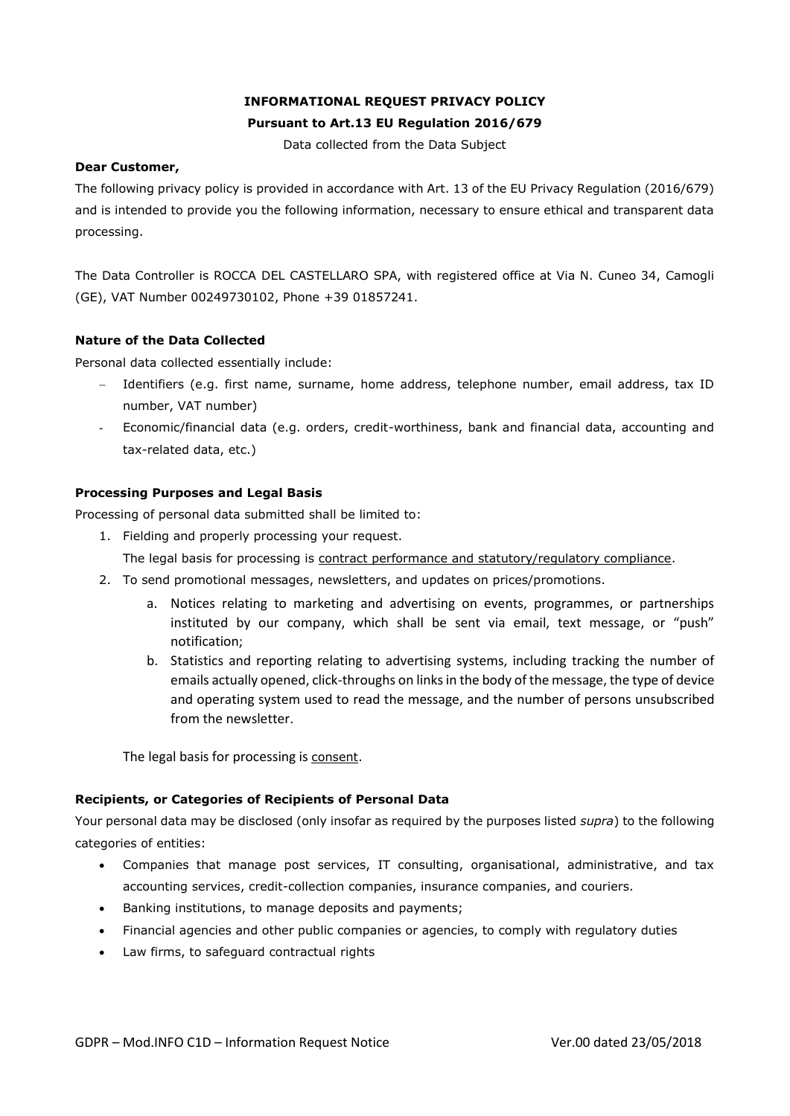# **INFORMATIONAL REQUEST PRIVACY POLICY Pursuant to Art.13 EU Regulation 2016/679**

Data collected from the Data Subject

### **Dear Customer,**

The following privacy policy is provided in accordance with Art. 13 of the EU Privacy Regulation (2016/679) and is intended to provide you the following information, necessary to ensure ethical and transparent data processing.

The Data Controller is ROCCA DEL CASTELLARO SPA, with registered office at Via N. Cuneo 34, Camogli (GE), VAT Number 00249730102, Phone +39 01857241.

## **Nature of the Data Collected**

Personal data collected essentially include:

- − Identifiers (e.g. first name, surname, home address, telephone number, email address, tax ID number, VAT number)
- Economic/financial data (e.g. orders, credit-worthiness, bank and financial data, accounting and tax-related data, etc.)

## **Processing Purposes and Legal Basis**

Processing of personal data submitted shall be limited to:

- 1. Fielding and properly processing your request.
	- The legal basis for processing is contract performance and statutory/regulatory compliance.
- 2. To send promotional messages, newsletters, and updates on prices/promotions.
	- a. Notices relating to marketing and advertising on events, programmes, or partnerships instituted by our company, which shall be sent via email, text message, or "push" notification;
	- b. Statistics and reporting relating to advertising systems, including tracking the number of emails actually opened, click-throughs on links in the body of the message, the type of device and operating system used to read the message, and the number of persons unsubscribed from the newsletter.

The legal basis for processing is consent.

## **Recipients, or Categories of Recipients of Personal Data**

Your personal data may be disclosed (only insofar as required by the purposes listed *supra*) to the following categories of entities:

- Companies that manage post services, IT consulting, organisational, administrative, and tax accounting services, credit-collection companies, insurance companies, and couriers.
- Banking institutions, to manage deposits and payments;
- Financial agencies and other public companies or agencies, to comply with regulatory duties
- Law firms, to safeguard contractual rights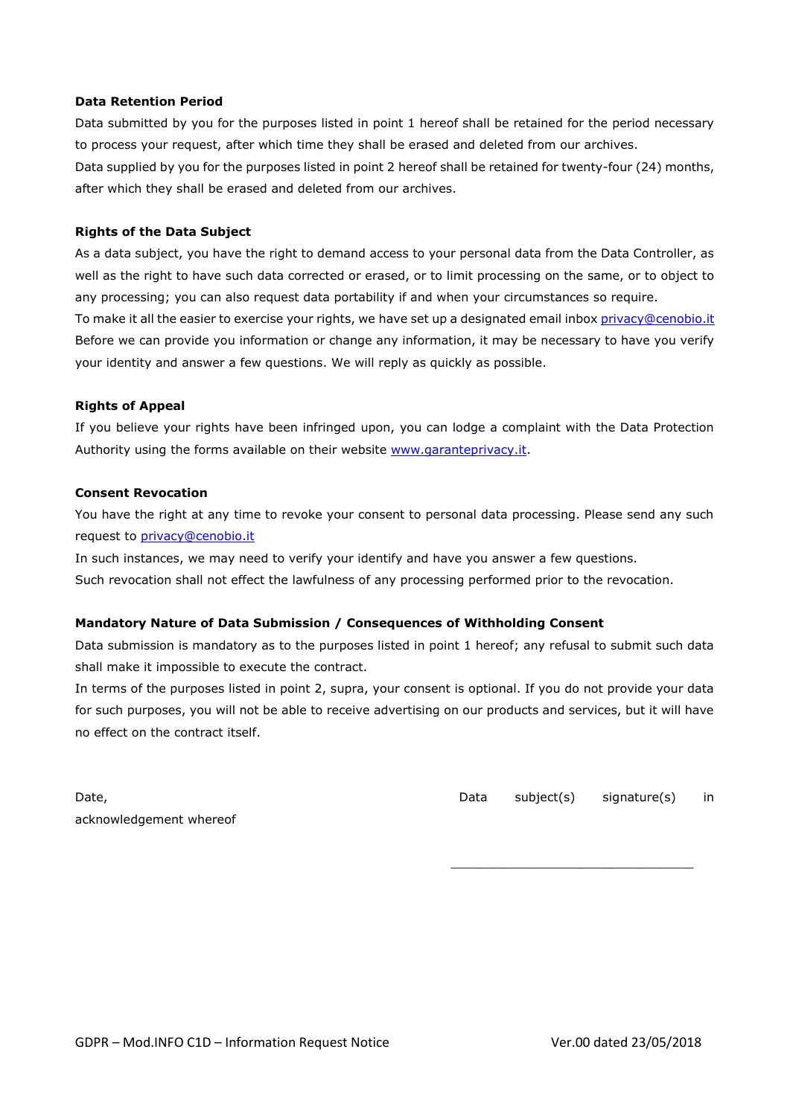#### **Data Retention Period**

Data submitted by you for the purposes listed in point 1 hereof shall be retained for the period necessary to process your request, after which time they shall be erased and deleted from our archives. Data supplied by you for the purposes listed in point 2 hereof shall be retained for twenty-four (24) months, after which they shall be erased and deleted from our archives.

#### **Rights of the Data Subject**

As a data subject, you have the right to demand access to your personal data from the Data Controller, as well as the right to have such data corrected or erased, or to limit processing on the same, or to object to any processing; you can also request data portability if and when your circumstances so require. To make it all the easier to exercise your rights, we have set up a designated email inbox [privacy@cenobio.it](mailto:privacy@cenobio.it) Before we can provide you information or change any information, it may be necessary to have you verify your identity and answer a few questions. We will reply as quickly as possible.

#### **Rights of Appeal**

If you believe your rights have been infringed upon, you can lodge a complaint with the Data Protection Authority using the forms available on their website [www.garanteprivacy.it.](http://www.garanteprivacy.it/)

#### **Consent Revocation**

You have the right at any time to revoke your consent to personal data processing. Please send any such request to [privacy@c](mailto:privacy@bmplift.it)enobio.it

In such instances, we may need to verify your identify and have you answer a few questions. Such revocation shall not effect the lawfulness of any processing performed prior to the revocation.

#### **Mandatory Nature of Data Submission / Consequences of Withholding Consent**

Data submission is mandatory as to the purposes listed in point 1 hereof; any refusal to submit such data shall make it impossible to execute the contract.

In terms of the purposes listed in point 2, supra, your consent is optional. If you do not provide your data for such purposes, you will not be able to receive advertising on our products and services, but it will have no effect on the contract itself.

| Date,                   |  |
|-------------------------|--|
| acknowledgement whereof |  |

Data subject(s) signature(s) in

\_\_\_\_\_\_\_\_\_\_\_\_\_\_\_\_\_\_\_\_\_\_\_\_\_\_\_\_\_\_\_\_